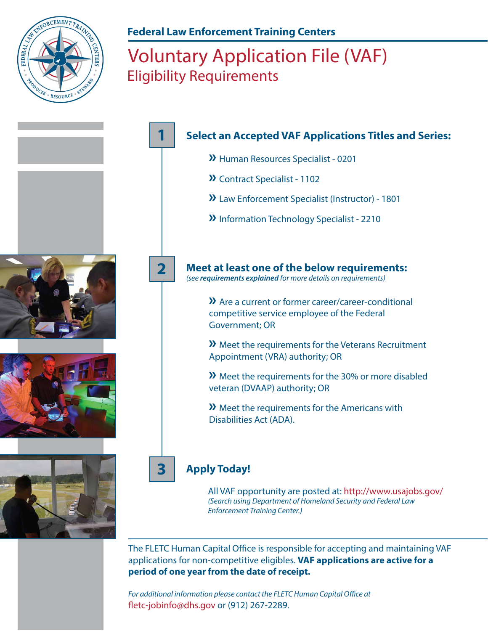

## **Federal Law Enforcement Training Centers**

## Voluntary Application File (VAF) Eligibility Requirements



The FLETC Human Capital Office is responsible for accepting and maintaining VAF applications for non-competitive eligibles. **VAF applications are active for a period of one year from the date of receipt.** 

For additional information please contact the FLETC Human Capital Office at fletc-jobinfo@dhs.gov or (912) 267-2289.